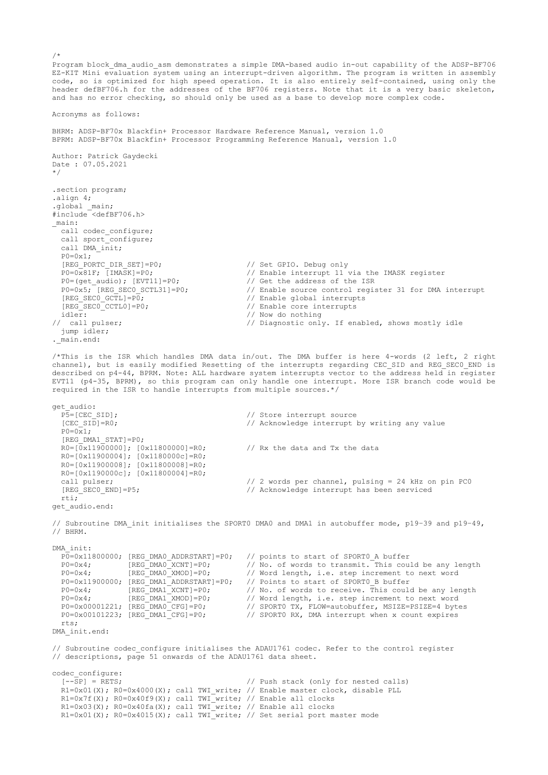Program block dma audio asm demonstrates a simple DMA-based audio in-out capability of the ADSP-BF706 EZ-KIT Mini evaluation system using an interrupt-driven algorithm. The program is written in assembly code, so is optimized for high speed operation. It is also entirely self-contained, using only the header defBF706.h for the addresses of the BF706 registers. Note that it is a very basic skeleton, and has no error checking, so should only be used as a base to develop more complex code.

Acronyms as follows:

BHRM: ADSP-BF70x Blackfin+ Processor Hardware Reference Manual, version 1.0 BPRM: ADSP-BF70x Blackfin+ Processor Programming Reference Manual, version 1.0 Author: Patrick Gaydecki Date : 07.05.2021 \*/ .section program; .align 4; .global \_main; #include <defBF706.h> \_main: call codec configure; call sport\_configure; call DMA\_init;  $PO=0x1;$ <br>[REG\_PORTC\_DIR\_SET]=P0; // Set GPIO. Debug only  $P0=0x81F$ ; [IMASK]=P0;<br>  $P0=(get \text{ audio});$  [EVT11]=P0;<br>  $P0=(get \text{ audio});$  [EVT11]=P0;<br>  $P1$  Get the address of the ISR // Get the address of the ISR // Enable source control register 31 for DMA interrupt<br>// Enable global interrupts  $P0=0 \times 5$ ; [REG\_SECO\_SCTL31]=P0;<br>[REG\_SECO\_GCTL]=P0;<br>[REG\_SECO\_CCTL0]=P0; // Enable core interrupts idler:  $\overline{'}$  // Now do nothing<br>
// call pulser; // Diagnostic onl // Diagnostic only. If enabled, shows mostly idle jump idler; . main.end:

/\*This is the ISR which handles DMA data in/out. The DMA buffer is here 4-words (2 left, 2 right channel), but is easily modified Resetting of the interrupts regarding CEC SID and REG SEC0 END is described on p4-44, BPRM. Note: ALL hardware system interrupts vector to the address held in register EVT11 (p4-35, BPRM), so this program can only handle one interrupt. More ISR branch code would be required in the ISR to handle interrupts from multiple sources.\*/

get\_audio:<br>P5=[CEC\_SID]; // Store interrupt source [CEC SID]=R0;  $\frac{1}{2}$  // Acknowledge interrupt by writing any value  $P0=0x1;$  [REG\_DMA1\_STAT]=P0;  $R0 = [0x11900000]$ ;  $[0x11800000] = R0$ ; // Rx the data and Tx the data R0=[0x11900004]; [0x1180000c]=R0; R0=[0x11900008]; [0x11800008]=R0; R0=[0x1190000c]; [0x11800004]=R0; call pulser; // 2 words per channel, pulsing = 24 kHz on pin PC0 [REG\_SECO\_END]=P5;  $\frac{1}{2}$  // Acknowledge interrupt has been serviced rti; get\_audio.end:

// Subroutine DMA\_init initialises the SPORT0 DMA0 and DMA1 in autobuffer mode, p19–39 and p19–49, // BHRM.

DMA\_init: PO=0x11800000; [REG\_DMA0\_ADDRSTART]=P0; // points to start of SPORT0\_A buffer P0=0x4; [REG\_DMA0\_XCNT]=P0; // No. of words to transmit. This could be any length  $P0=0x4$ ; [REG\_DMA0\_XMOD]=P0; // Word length, i.e. step increment to next word // Word length, i.e. step increment to next word P0=0x11900000; [REG\_DMA1\_ADDRSTART]=P0; // Points to start of SPORT0\_B buffer<br>P0=0x4; [REG\_DMA1\_XCNT]=P0; // No. of words to receive. This could  $P0=0\times4$ ;  $[REG\_DMAI\_XCNT]=P0$ ; // No. of words to receive. This could be any length  $P0=0\times4$ ;  $[REG\_DMAI\_XMOD]=P0$ ; // Word length, i.e. step increment to next word P0=0x4; [REG\_DMA1\_XMOD]=P0; // Word length, i.e. step increment to next word<br>P0=0x00001221; [REG\_DMA0\_CFG]=P0; // SPORT0 TX, FLOW=autobuffer, MSIZE=PSIZE=4 byte  $P0=0 \times 00001221$ ;  $[REG\_DMA0CCG]=P0$ ; // SPORTO TX, FLOW=autobuffer, MSIZE=PSIZE=4 bytes<br> $P0=0 \times 00101223$ ;  $[REG\_DMA1CCG]=P0$ ; // SPORTO RX, DMA interrupt when x count expires // SPORT0 RX, DMA interrupt when x count expires rts; DMA\_init.end:

// Subroutine codec\_configure initialises the ADAU1761 codec. Refer to the control register // descriptions, page 51 onwards of the ADAU1761 data sheet.

 $codec_m$ configure:<br> $[--SP] = REF;$ // Push stack (only for nested calls) R1=0x01(X); R0=0x4000(X); call TWI write; // Enable master clock, disable PLL R1=0x7f(X); R0=0x40f9(X); call TWI write; // Enable all clocks R1=0x03(X); R0=0x40fa(X); call TWI write; // Enable all clocks R1=0x01(X); R0=0x4015(X); call TWI write; // Set serial port master mode

/\*